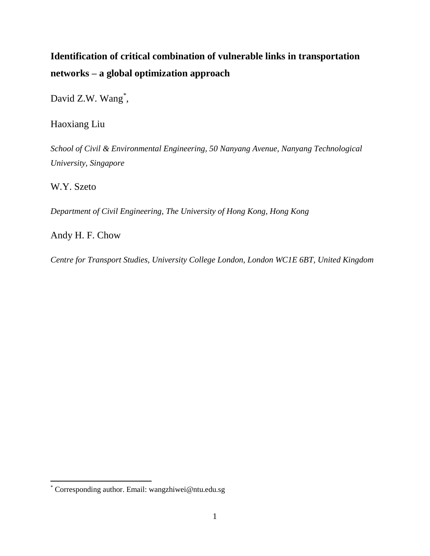# **Identification of critical combination of vulnerable links in transportation networks – a global optimization approach**

David Z.W. Wang<sup>\*</sup>,

Haoxiang Liu

*School of Civil & Environmental Engineering, 50 Nanyang Avenue, Nanyang Technological University, Singapore* 

W.Y. Szeto

 $\overline{a}$ 

*Department of Civil Engineering, The University of Hong Kong, Hong Kong* 

Andy H. F. Chow

*Centre for Transport Studies, University College London, London WC1E 6BT, United Kingdom*

<sup>\*</sup> Corresponding author. Email: wangzhiwei@ntu.edu.sg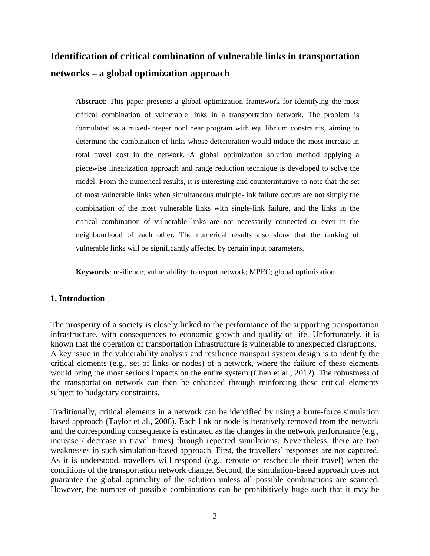# **Identification of critical combination of vulnerable links in transportation networks – a global optimization approach**

**Abstract**: This paper presents a global optimization framework for identifying the most critical combination of vulnerable links in a transportation network. The problem is formulated as a mixed-integer nonlinear program with equilibrium constraints, aiming to determine the combination of links whose deterioration would induce the most increase in total travel cost in the network. A global optimization solution method applying a piecewise linearization approach and range reduction technique is developed to solve the model. From the numerical results, it is interesting and counterintuitive to note that the set of most vulnerable links when simultaneous multiple-link failure occurs are not simply the combination of the most vulnerable links with single-link failure, and the links in the critical combination of vulnerable links are not necessarily connected or even in the neighbourhood of each other. The numerical results also show that the ranking of vulnerable links will be significantly affected by certain input parameters.

**Keywords**: resilience; vulnerability; transport network; MPEC; global optimization

# **1. Introduction**

The prosperity of a society is closely linked to the performance of the supporting transportation infrastructure, with consequences to economic growth and quality of life. Unfortunately, it is known that the operation of transportation infrastructure is vulnerable to unexpected disruptions. A key issue in the vulnerability analysis and resilience transport system design is to identify the critical elements (e.g., set of links or nodes) of a network, where the failure of these elements would bring the most serious impacts on the entire system (Chen et al., 2012). The robustness of the transportation network can then be enhanced through reinforcing these critical elements subject to budgetary constraints.

Traditionally, critical elements in a network can be identified by using a brute-force simulation based approach (Taylor et al., 2006). Each link or node is iteratively removed from the network and the corresponding consequence is estimated as the changes in the network performance (e.g., increase / decrease in travel times) through repeated simulations. Nevertheless, there are two weaknesses in such simulation-based approach. First, the travellers' responses are not captured. As it is understood, travellers will respond (e.g., reroute or reschedule their travel) when the conditions of the transportation network change. Second, the simulation-based approach does not guarantee the global optimality of the solution unless all possible combinations are scanned. However, the number of possible combinations can be prohibitively huge such that it may be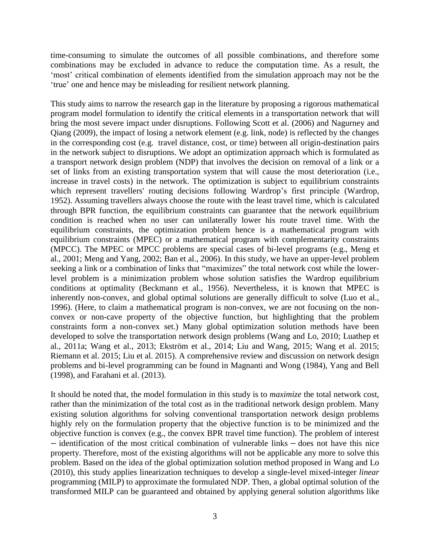time-consuming to simulate the outcomes of all possible combinations, and therefore some combinations may be excluded in advance to reduce the computation time. As a result, the 'most' critical combination of elements identified from the simulation approach may not be the 'true' one and hence may be misleading for resilient network planning.

This study aims to narrow the research gap in the literature by proposing a rigorous mathematical program model formulation to identify the critical elements in a transportation network that will bring the most severe impact under disruptions. Following Scott et al. (2006) and Nagurney and Qiang (2009), the impact of losing a network element (e.g. link, node) is reflected by the changes in the corresponding cost (e.g. travel distance, cost, or time) between all origin-destination pairs in the network subject to disruptions. We adopt an optimization approach which is formulated as a transport network design problem (NDP) that involves the decision on removal of a link or a set of links from an existing transportation system that will cause the most deterioration (i.e., increase in travel costs) in the network. The optimization is subject to equilibrium constraints which represent travellers' routing decisions following Wardrop's first principle (Wardrop, 1952). Assuming travellers always choose the route with the least travel time, which is calculated through BPR function, the equilibrium constraints can guarantee that the network equilibrium condition is reached when no user can unilaterally lower his route travel time. With the equilibrium constraints, the optimization problem hence is a mathematical program with equilibrium constraints (MPEC) or a mathematical program with complementarity constraints (MPCC). The MPEC or MPCC problems are special cases of bi-level programs (e.g., Meng et al., 2001; Meng and Yang, 2002; Ban et al., 2006). In this study, we have an upper-level problem seeking a link or a combination of links that "maximizes" the total network cost while the lowerlevel problem is a minimization problem whose solution satisfies the Wardrop equilibrium conditions at optimality (Beckmann et al., 1956). Nevertheless, it is known that MPEC is inherently non-convex, and global optimal solutions are generally difficult to solve (Luo et al., 1996). (Here, to claim a mathematical program is non-convex, we are not focusing on the nonconvex or non-cave property of the objective function, but highlighting that the problem constraints form a non-convex set.) Many global optimization solution methods have been developed to solve the transportation network design problems (Wang and Lo, 2010; Luathep et al., 2011a; Wang et al., 2013; Ekström et al., 2014; Liu and Wang, 2015; Wang et al. 2015; Riemann et al. 2015; Liu et al. 2015). A comprehensive review and discussion on network design problems and bi-level programming can be found in Magnanti and Wong (1984), Yang and Bell (1998), and Farahani et al. (2013).

It should be noted that, the model formulation in this study is to *maximize* the total network cost, rather than the minimization of the total cost as in the traditional network design problem. Many existing solution algorithms for solving conventional transportation network design problems highly rely on the formulation property that the objective function is to be minimized and the objective function is convex (e.g., the convex BPR travel time function). The problem of interest − identification of the most critical combination of vulnerable links − does not have this nice property. Therefore, most of the existing algorithms will not be applicable any more to solve this problem. Based on the idea of the global optimization solution method proposed in Wang and Lo (2010), this study applies linearization techniques to develop a single-level mixed-integer *linear* programming (MILP) to approximate the formulated NDP. Then, a global optimal solution of the transformed MILP can be guaranteed and obtained by applying general solution algorithms like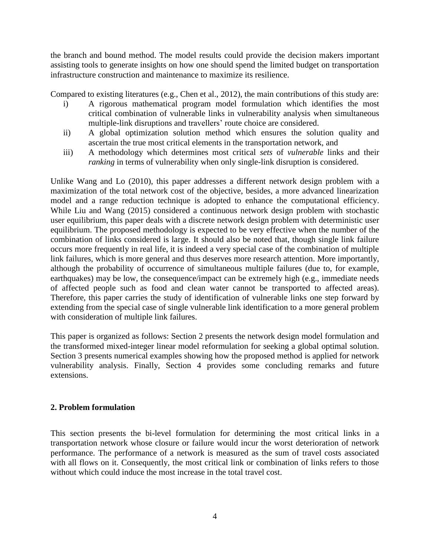the branch and bound method. The model results could provide the decision makers important assisting tools to generate insights on how one should spend the limited budget on transportation infrastructure construction and maintenance to maximize its resilience.

Compared to existing literatures (e.g., Chen et al., 2012), the main contributions of this study are:

- i) A rigorous mathematical program model formulation which identifies the most critical combination of vulnerable links in vulnerability analysis when simultaneous multiple-link disruptions and travellers' route choice are considered.
- ii) A global optimization solution method which ensures the solution quality and ascertain the true most critical elements in the transportation network, and
- iii) A methodology which determines most critical *sets* of *vulnerable* links and their *ranking* in terms of vulnerability when only single-link disruption is considered.

Unlike Wang and Lo (2010), this paper addresses a different network design problem with a maximization of the total network cost of the objective, besides, a more advanced linearization model and a range reduction technique is adopted to enhance the computational efficiency. While Liu and Wang (2015) considered a continuous network design problem with stochastic user equilibrium, this paper deals with a discrete network design problem with deterministic user equilibrium. The proposed methodology is expected to be very effective when the number of the combination of links considered is large. It should also be noted that, though single link failure occurs more frequently in real life, it is indeed a very special case of the combination of multiple link failures, which is more general and thus deserves more research attention. More importantly, although the probability of occurrence of simultaneous multiple failures (due to, for example, earthquakes) may be low, the consequence/impact can be extremely high (e.g., immediate needs of affected people such as food and clean water cannot be transported to affected areas). Therefore, this paper carries the study of identification of vulnerable links one step forward by extending from the special case of single vulnerable link identification to a more general problem with consideration of multiple link failures.

This paper is organized as follows: Section 2 presents the network design model formulation and the transformed mixed-integer linear model reformulation for seeking a global optimal solution. Section 3 presents numerical examples showing how the proposed method is applied for network vulnerability analysis. Finally, Section 4 provides some concluding remarks and future extensions.

# **2. Problem formulation**

This section presents the bi-level formulation for determining the most critical links in a transportation network whose closure or failure would incur the worst deterioration of network performance. The performance of a network is measured as the sum of travel costs associated with all flows on it. Consequently, the most critical link or combination of links refers to those without which could induce the most increase in the total travel cost.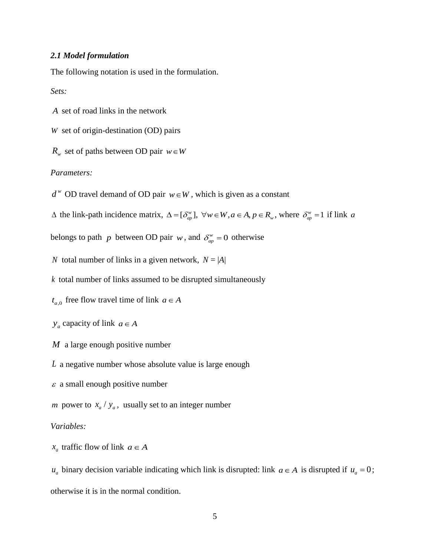# *2.1 Model formulation*

The following notation is used in the formulation.

*Sets:*

*A* set of road links in the network

*W* set of origin-destination (OD) pairs

 $R_w$  set of paths between OD pair  $w \in W$ 

# *Parameters:*

 $d^w$  OD travel demand of OD pair  $w \in W$ , which is given as a constant

 $\Delta$  the link-path incidence matrix,  $\Delta = [\delta_{ap}^w], \forall w \in W, a \in A, p \in R_w$ , where  $\delta_{ap}^w = 1$  if link a

belongs to path p between OD pair  $w$ , and  $\delta_{ap}^w = 0$  otherwise

*N* total number of links in a given network,  $N = |A|$ 

*k* total number of links assumed to be disrupted simultaneously

 $t_{a,0}$  free flow travel time of link  $a \in A$ 

 $y_a$  capacity of link  $a \in A$ 

*M* a large enough positive number

*L* a negative number whose absolute value is large enough

 $\varepsilon$  a small enough positive number

*m* power to  $x_a / y_a$ , usually set to an integer number

#### *Variables:*

 $x_a$  traffic flow of link  $a \in A$ 

 $u_a$  binary decision variable indicating which link is disrupted: link  $a \in A$  is disrupted if  $u_a = 0$ ; otherwise it is in the normal condition.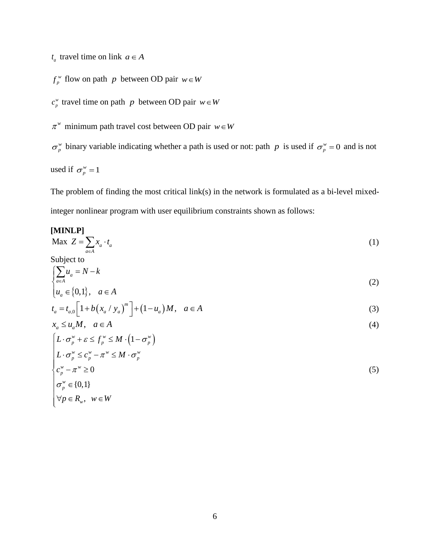$t_a$  travel time on link  $a \in A$ 

$$
f_p^w
$$
 flow on path *p* between OD pair  $w \in W$ 

 $c_p^w$  travel time on path *p* between OD pair  $w \in W$ 

 $\pi^w$  minimum path travel cost between OD pair  $w \in W$ 

 $\sigma_p^w$  binary variable indicating whether a path is used or not: path p is used if  $\sigma_p^w = 0$  and is not used if  $\sigma_p^w = 1$ 

The problem of finding the most critical link(s) in the network is formulated as a bi-level mixedinteger nonlinear program with user equilibrium constraints shown as follows:

#### **[MINLP]** Max  $Z = \sum x_a \cdot t_a$  $\overline{a \in A}$  $Z = \sum_{a} x_a \cdot t$  $=\sum_{a\in A}x_a\cdot t_a$ (1)

Subject to

$$
\begin{cases} \sum_{a \in A} u_a = N - k \\ u_a \in \{0, 1\}, \quad a \in A \end{cases} \tag{2}
$$

$$
\begin{aligned} \left[ u_a \in \{0, 1\}, & a \in A \\ t_a &= t_{a,0} \left[ 1 + b \left( x_a / y_a \right)^m \right] + (1 - u_a) M, & a \in A \end{aligned} \tag{3}
$$

$$
x_a \le u_a M, \quad a \in A
$$
  

$$
\left[ L \cdot \sigma_p^w + \varepsilon \le f_p^w \le M \cdot \left( 1 - \sigma_p^w \right) \right]
$$
 (4)

$$
\begin{cases}\nL \cdot \sigma_p^w + \varepsilon \le f_p^w \le M \cdot (1 - \sigma_p^w) \\
L \cdot \sigma_p^w \le c_p^w - \pi^w \le M \cdot \sigma_p^w \\
c_p^w - \pi^w \ge 0 \\
\sigma_p^w \in \{0,1\} \\
\forall p \in R_w, \quad w \in W\n\end{cases} \tag{5}
$$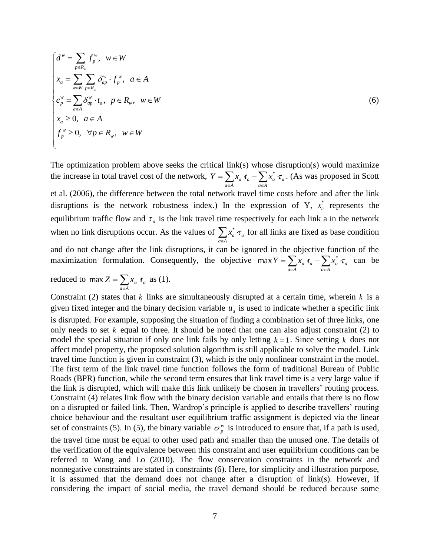$$
\begin{cases}\n d^w = \sum_{p \in R_w} f_p^w, & w \in W \\
 x_a = \sum_{w \in W} \sum_{p \in R_w} \delta_{ap}^w \cdot f_p^w, & a \in A \\
 c_p^w = \sum_{a \in A} \delta_{ap}^w \cdot t_a, & p \in R_w, & w \in W \\
 x_a \ge 0, & a \in A \\
 f_p^w \ge 0, & \forall p \in R_w, & w \in W\n\end{cases}
$$
\n(6)

The optimization problem above seeks the critical link(s) whose disruption(s) would maximize the increase in total travel cost of the network,  $Y = \sum x_a t_a - \sum x_a^* \tau_a$  $a \in A$   $a \in A$  $Y = \sum x_a \hat{t}_a - \sum x_a^* \hat{\tau}_a$ at link(s) whose disruption(s) would maximize<br>=  $\sum_{a \in A} x_a t_a - \sum_{a \in A} x_a^* \tau_a$ . (As was proposed in Scott

et al. (2006), the difference between the total network travel time costs before and after the link disruptions is the network robustness index.) In the expression of Y,  $x_a^*$  $x_a^*$  represents the equilibrium traffic flow and  $\tau_a$  is the link travel time respectively for each link a in the network when no link disruptions occur. As the values of  $\sum_{x} x_a^*$ *a a*  $a \in A$  $x_a^* \mathrel{\cdot} \tau$  $\sum_{a \in A} x_a^* \tau_a$  for all links are fixed as base condition and do not change after the link disruptions, it can be ignored in the objective function of the maximization formulation. Consequently, the objective max  $Y = \sum x_a t_a - \sum x_a^* \tau_a$  $\overrightarrow{a}$  *a*  $\overrightarrow{a}$  *a*  $\in$ *A Y* =  $\sum x_a t_a - \sum x_a^* \tau_a$ the objective function of the<br>=  $\sum_{a \in A} x_a t_a - \sum_{a \in A} x_a^* \tau_a$  can be

reduced to max  $Z = \sum x_a t_a$  $Z = \sum_{a \in A} x_a t$  $\max Z = \sum_{n} x_a t_a$  as (1).

Constraint (2) states that  $k$  links are simultaneously disrupted at a certain time, wherein  $k$  is a given fixed integer and the binary decision variable  $u_a$  is used to indicate whether a specific link is disrupted. For example, supposing the situation of finding a combination set of three links, one only needs to set *k* equal to three. It should be noted that one can also adjust constraint (2) to model the special situation if only one link fails by only letting  $k = 1$ . Since setting k does not affect model property, the proposed solution algorithm is still applicable to solve the model. Link travel time function is given in constraint (3), which is the only nonlinear constraint in the model. The first term of the link travel time function follows the form of traditional Bureau of Public Roads (BPR) function, while the second term ensures that link travel time is a very large value if the link is disrupted, which will make this link unlikely be chosen in travellers' routing process. Constraint (4) relates link flow with the binary decision variable and entails that there is no flow on a disrupted or failed link. Then, Wardrop's principle is applied to describe travellers' routing choice behaviour and the resultant user equilibrium traffic assignment is depicted via the linear set of constraints (5). In (5), the binary variable  $\sigma_p^w$  is introduced to ensure that, if a path is used, the travel time must be equal to other used path and smaller than the unused one. The details of the verification of the equivalence between this constraint and user equilibrium conditions can be referred to Wang and Lo (2010). The flow conservation constraints in the network and nonnegative constraints are stated in constraints (6). Here, for simplicity and illustration purpose, it is assumed that the demand does not change after a disruption of link(s). However, if considering the impact of social media, the travel demand should be reduced because some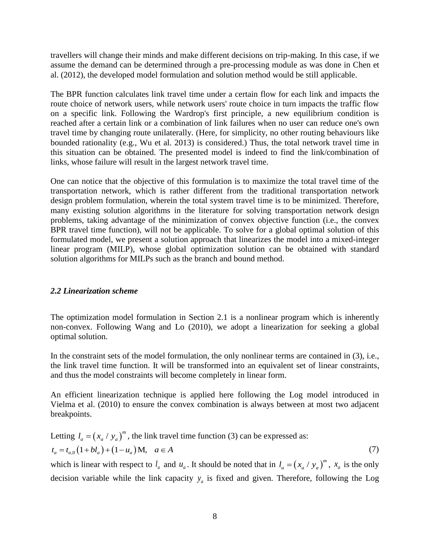travellers will change their minds and make different decisions on trip-making. In this case, if we assume the demand can be determined through a pre-processing module as was done in Chen et al. (2012), the developed model formulation and solution method would be still applicable.

The BPR function calculates link travel time under a certain flow for each link and impacts the route choice of network users, while network users' route choice in turn impacts the traffic flow on a specific link. Following the Wardrop's first principle, a new equilibrium condition is reached after a certain link or a combination of link failures when no user can reduce one's own travel time by changing route unilaterally. (Here, for simplicity, no other routing behaviours like bounded rationality (e.g., Wu et al. 2013) is considered.) Thus, the total network travel time in this situation can be obtained. The presented model is indeed to find the link/combination of links, whose failure will result in the largest network travel time.

One can notice that the objective of this formulation is to maximize the total travel time of the transportation network, which is rather different from the traditional transportation network design problem formulation, wherein the total system travel time is to be minimized. Therefore, many existing solution algorithms in the literature for solving transportation network design problems, taking advantage of the minimization of convex objective function (i.e., the convex BPR travel time function), will not be applicable. To solve for a global optimal solution of this formulated model, we present a solution approach that linearizes the model into a mixed-integer linear program (MILP), whose global optimization solution can be obtained with standard solution algorithms for MILPs such as the branch and bound method.

# *2.2 Linearization scheme*

The optimization model formulation in Section 2.1 is a nonlinear program which is inherently non-convex. Following Wang and Lo (2010), we adopt a linearization for seeking a global optimal solution.

In the constraint sets of the model formulation, the only nonlinear terms are contained in (3), i.e., the link travel time function. It will be transformed into an equivalent set of linear constraints, and thus the model constraints will become completely in linear form.

An efficient linearization technique is applied here following the Log model introduced in Vielma et al. (2010) to ensure the convex combination is always between at most two adjacent breakpoints.

Letting 
$$
l_a = (x_a / y_a)^m
$$
, the link travel time function (3) can be expressed as:  
\n $t_a = t_{a,0} (1 + bl_a) + (1 - u_a) M, \quad a \in A$  (7)

which is linear with respect to  $l_a$  and  $u_a$ . It should be noted that in  $l_a = (x_a / y_a)^m$  $l_a = (x_a / y_a)^m$ ,  $x_a$  is the only decision variable while the link capacity  $y_a$  is fixed and given. Therefore, following the Log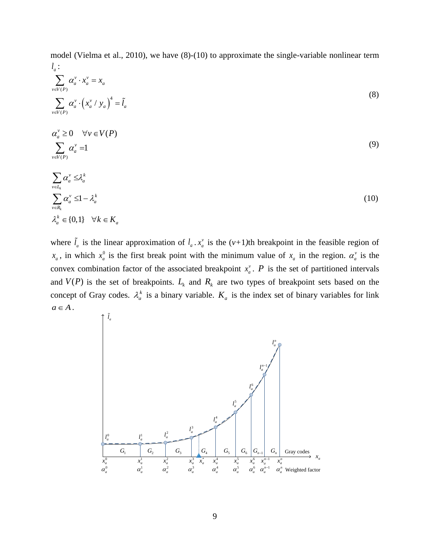model (Vielma et al., 2010), we have (8)-(10) to approximate the single-variable nonlinear term *a l* :

$$
\sum_{v \in V(P)}^u \alpha_a^v \cdot x_a^v = x_a
$$
\n
$$
\sum_{v \in V(P)} \alpha_a^v \cdot \left(x_a^v / y_a\right)^4 = \tilde{l}_a
$$
\n(8)

$$
\alpha_a^{\nu} \ge 0 \quad \forall \nu \in V(P) \sum_{\nu \in V(P)} \alpha_a^{\nu} = 1
$$
\n(9)

$$
\sum_{v \in R_k} \alpha_a^v \leq \lambda_a^k
$$
\n
$$
\sum_{v \in R_k} \alpha_a^v \leq 1 - \lambda_a^k
$$
\n
$$
\lambda_a^k \in \{0, 1\} \quad \forall k \in K_a
$$
\n(10)

where  $\tilde{l}_a$  is the linear approximation of  $l_a$ .  $x_a^{\nu}$  $x_a^v$  is the (*v*+1)<sup>th</sup> breakpoint in the feasible region of  $x_a$ , in which  $x_a^0$  $x_a^0$  is the first break point with the minimum value of  $x_a$  in the region.  $\alpha_a^v$  is the convex combination factor of the associated breakpoint  $x_a^{\nu}$  $x_a^v$ . *P* is the set of partitioned intervals and  $V(P)$  is the set of breakpoints.  $L_k$  and  $R_k$  are two types of breakpoint sets based on the concept of Gray codes.  $\lambda_a^k$  is a binary variable.  $K_a$  is the index set of binary variables for link  $a \in A$ .

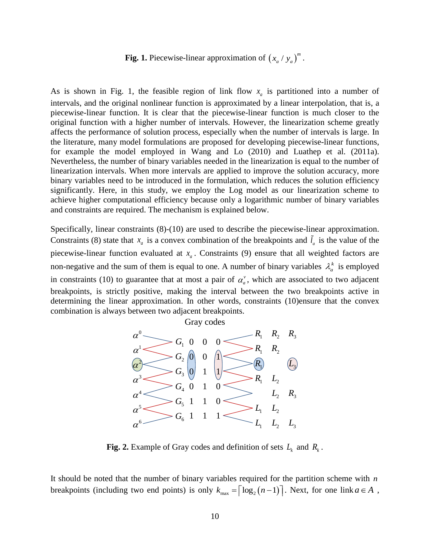#### Fig. 1. Piecewise-linear approximation of  $(x_a / y_a)^m$  $x_a / y_a$ <sup>m</sup>.

As is shown in Fig. 1, the feasible region of link flow  $x_a$  is partitioned into a number of intervals, and the original nonlinear function is approximated by a linear interpolation, that is, a piecewise-linear function. It is clear that the piecewise-linear function is much closer to the original function with a higher number of intervals. However, the linearization scheme greatly affects the performance of solution process, especially when the number of intervals is large. In the literature, many model formulations are proposed for developing piecewise-linear functions, for example the model employed in Wang and Lo (2010) and Luathep et al. (2011a). Nevertheless, the number of binary variables needed in the linearization is equal to the number of linearization intervals. When more intervals are applied to improve the solution accuracy, more binary variables need to be introduced in the formulation, which reduces the solution efficiency significantly. Here, in this study, we employ the Log model as our linearization scheme to achieve higher computational efficiency because only a logarithmic number of binary variables and constraints are required. The mechanism is explained below.

Specifically, linear constraints (8)-(10) are used to describe the piecewise-linear approximation. Constraints (8) state that  $x_a$  is a convex combination of the breakpoints and  $\tilde{l}_a$  is the value of the piecewise-linear function evaluated at  $x_a$ . Constraints (9) ensure that all weighted factors are non-negative and the sum of them is equal to one. A number of binary variables  $\lambda_a^k$  is employed in constraints (10) to guarantee that at most a pair of  $\alpha_a^{\nu}$ , which are associated to two adjacent breakpoints, is strictly positive, making the interval between the two breakpoints active in determining the linear approximation. In other words, constraints (10)ensure that the convex combination is always between two adjacent breakpoints.



**Fig. 2.** Example of Gray codes and definition of sets  $L_k$  and  $R_k$ .

It should be noted that the number of binary variables required for the partition scheme with *n* breakpoints (including two end points) is only  $k_{\text{max}} = \lceil \log_2(n-1) \rceil$ . Next, for one link  $a \in A$ ,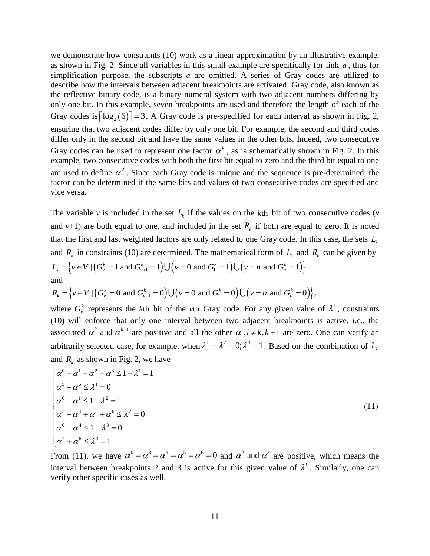we demonstrate how constraints (10) work as a linear approximation by an illustrative example, as shown in Fig. 2. Since all variables in this small example are specifically for link *a* , thus for simplification purpose, the subscripts  $a$  are omitted. A series of Gray codes are utilized to describe how the intervals between adjacent breakpoints are activated. Gray code, also known as the reflective binary code, is a binary numeral system with two adjacent numbers differing by only one bit. In this example, seven breakpoints are used and therefore the length of each of the Gray codes is  $\lceil \log_2(6) \rceil = 3$ . A Gray code is pre-specified for each interval as shown in Fig. 2, ensuring that two adjacent codes differ by only one bit. For example, the second and third codes differ only in the second bit and have the same values in the other bits. Indeed, two consecutive Gray codes can be used to represent one factor  $\alpha^k$ , as is schematically shown in Fig. 2. In this example, two consecutive codes with both the first bit equal to zero and the third bit equal to one are used to define  $\alpha^2$ . Since each Gray code is unique and the sequence is pre-determined, the factor can be determined if the same bits and values of two consecutive codes are specified and vice versa.

The variable *v* is included in the set  $L_k$  if the values on the kth bit of two consecutive codes (*v* and  $v+1$ ) are both equal to one, and included in the set  $R_k$  if both are equal to zero. It is noted that the first and last weighted factors are only related to one Gray code. In this case, the sets *Lk* and  $R_k$  in constraints (10) are determined. The mathematical form of  $L_k$  and  $R_k$  can be given by that the first and last weighted factors are only related to one Gray code. In this cas<br>and  $R_k$  in constraints (10) are determined. The mathematical form of  $L_k$  and  $R_k$  can<br> $L_k = \{v \in V | (G_v^k = 1 \text{ and } G_{v+1}^k = 1) \cup (v = 0 \text$ and  $L_k = \Big\{ v \in V \mid (G_v^k = 1 \text{ and } G_{v+1}^k = 1) \cup (v = 0 \text{ and } G_1^k = 1) \cup (v = n \text{ and } G_n^k = 1) \Big\}$ <br>and<br> $R_k = \Big\{ v \in V \mid (G_v^k = 0 \text{ and } G_{v+1}^k = 0) \cup (v = 0 \text{ and } G_1^k = 0) \cup (v = n \text{ and } G_n^k = 0) \Big\},$ 

$$
R_{k} = \left\{ v \in V \mid \left( G_{v}^{k} = 0 \text{ and } G_{v+1}^{k} = 0 \right) \cup \left( v = 0 \text{ and } G_{1}^{k} = 0 \right) \cup \left( v = n \text{ and } G_{n}^{k} = 0 \right) \right\},\
$$

where  $G_v^k$  represents the kth bit of the vth Gray code. For any given value of  $\lambda^k$ , constraints (10) will enforce that only one interval between two adjacent breakpoints is active, i.e., the associated  $\alpha^k$  and  $\alpha^{k+1}$  are positive and all the other  $\alpha^i, i \neq k, k+1$  are zero. One can verify an arbitrarily selected case, for example, when  $\lambda^1 = \lambda^2 = 0$ ;  $\lambda^3 = 1$ . Based on the combination of  $L_k$ and  $R_k$  as shown in Fig. 2, we have

$$
\begin{cases}\n\alpha^0 + \alpha^1 + \alpha^2 + \alpha^3 \le 1 - \lambda^1 = 1 \\
\alpha^5 + \alpha^6 \le \lambda^1 = 0 \\
\alpha^0 + \alpha^1 \le 1 - \lambda^2 = 1 \\
\alpha^3 + \alpha^4 + \alpha^5 + \alpha^6 \le \lambda^2 = 0 \\
\alpha^0 + \alpha^4 \le 1 - \lambda^3 = 0 \\
\alpha^2 + \alpha^6 \le \lambda^3 = 1\n\end{cases}
$$
\n(11)

From (11), we have  $\alpha^0 = \alpha^3 = \alpha^4 = \alpha^5 = \alpha^6 = 0$  and  $\alpha^2$  and  $\alpha^3$  are positive, which means the interval between breakpoints 2 and 3 is active for this given value of  $\lambda^k$ . Similarly, one can verify other specific cases as well.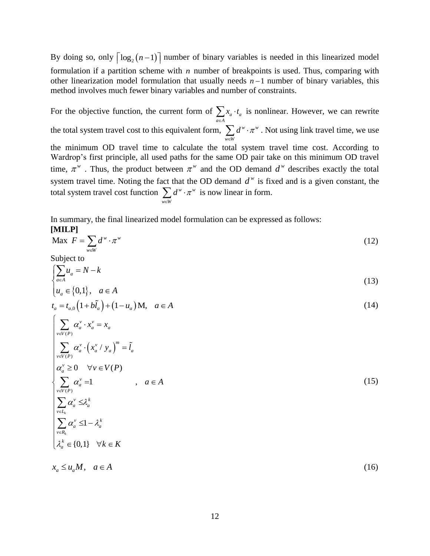By doing so, only  $\lceil log_2(n-1) \rceil$  number of binary variables is needed in this linearized model formulation if a partition scheme with *n* number of breakpoints is used. Thus, comparing with other linearization model formulation that usually needs  $n-1$  number of binary variables, this method involves much fewer binary variables and number of constraints.

For the objective function, the current form of  $\sum x_a \cdot t_a$  $a \in A$  $x_a \cdot t$  $\sum_{a \in A} x_a \cdot t_a$  is nonlinear. However, we can rewrite the total system travel cost to this equivalent form,  $\sum d^w \cdot \pi^w$  $w \in W$  $d^w \cdot \pi$  $\sum_{w \in W} d^w \cdot \pi^w$ . Not using link travel time, we use the minimum OD travel time to calculate the total system travel time cost. According to Wardrop's first principle, all used paths for the same OD pair take on this minimum OD travel time,  $\pi^w$ . Thus, the product between  $\pi^w$  and the OD demand  $d^w$  describes exactly the total system travel time. Noting the fact that the OD demand  $d^w$  is fixed and is a given constant, the total system travel cost function  $\sum d^w \cdot \pi^w$  $w \in W$  $d^w\cdot\pi$  $\sum_{w \in W} d^w \cdot \pi^w$  is now linear in form.

In summary, the final linearized model formulation can be expressed as follows: **[MILP]**

$$
\text{Max } F = \sum_{w \in W} d^w \cdot \pi^w \tag{12}
$$

Subject to

$$
\begin{cases} \sum_{a \in A} u_a = N - k \\ u_a \in \{0, 1\}, \quad a \in A \end{cases}
$$
\n
$$
t_a = t_{a,0} \left(1 + b\tilde{l}_a\right) + \left(1 - u_a\right)M, \quad a \in A
$$
\n
$$
(14)
$$

$$
t_a = t_{a,0} \left( 1 + bl_a \right) + \left( 1 - u_a \right) M, \quad a \in A
$$
\n(14)

$$
\begin{cases}\n\sum_{v \in V(P)} \alpha_a^v \cdot x_a^v = x_a \\
\sum_{v \in V(P)} \alpha_a^v \cdot \left(x_a^v / y_a\right)^m = \tilde{l}_a \\
\alpha_a^v \ge 0 \quad \forall v \in V(P) \\
\sum_{v \in V(P)} \alpha_a^v = 1 \quad , \quad a \in A \\
\sum_{v \in I_x} \alpha_a^v \le \lambda_a^k \\
\sum_{v \in I_x} \alpha_a^v \le 1 - \lambda_a^k \\
\lambda_a^k \in \{0, 1\} \quad \forall k \in K\n\end{cases}
$$
\n(15)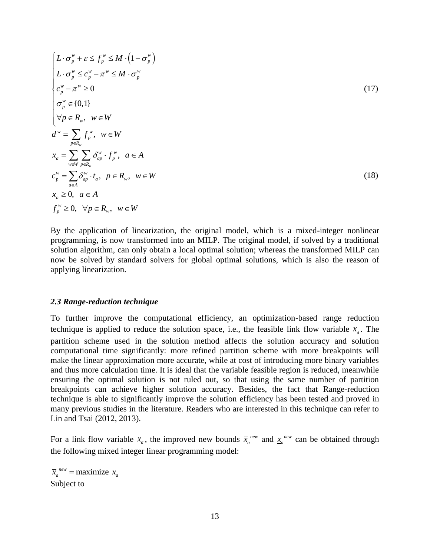$$
\begin{cases}\nL \cdot \sigma_p^w + \varepsilon \le f_p^w \le M \cdot (1 - \sigma_p^w) \\
L \cdot \sigma_p^w \le c_p^w - \pi^w \le M \cdot \sigma_p^w \\
c_p^w - \pi^w \ge 0 \\
\sigma_p^w \in \{0,1\} \\
\forall p \in R_w, \quad w \in W \\
d^w = \sum_{p \in R_w} f_p^w, \quad w \in W \\
x_a = \sum_{w \in W} \sum_{p \in R_w} \delta_{qp}^w \cdot f_p^w, \quad a \in A \\
c_p^w = \sum_{a \in A} \delta_{ap}^w \cdot t_a, \quad p \in R_w, \quad w \in W \\
x_a \ge 0, \quad a \in A \\
f_p^w \ge 0, \quad \forall p \in R_w, \quad w \in W\n\end{cases} \tag{18}
$$

By the application of linearization, the original model, which is a mixed-integer nonlinear programming, is now transformed into an MILP. The original model, if solved by a traditional solution algorithm, can only obtain a local optimal solution; whereas the transformed MILP can now be solved by standard solvers for global optimal solutions, which is also the reason of applying linearization.

## *2.3 Range-reduction technique*

To further improve the computational efficiency, an optimization-based range reduction technique is applied to reduce the solution space, i.e., the feasible link flow variable  $x_a$ . The partition scheme used in the solution method affects the solution accuracy and solution computational time significantly: more refined partition scheme with more breakpoints will make the linear approximation more accurate, while at cost of introducing more binary variables and thus more calculation time. It is ideal that the variable feasible region is reduced, meanwhile ensuring the optimal solution is not ruled out, so that using the same number of partition breakpoints can achieve higher solution accuracy. Besides, the fact that Range-reduction technique is able to significantly improve the solution efficiency has been tested and proved in many previous studies in the literature. Readers who are interested in this technique can refer to Lin and Tsai (2012, 2013).

For a link flow variable  $x_a$ , the improved new bounds  $\bar{x}_a^{new}$  $\bar{x}_a^{new}$  and  $\bar{x}_a^{new}$  $\frac{x}{a}$ <sup>new</sup> can be obtained through the following mixed integer linear programming model:

 $\overline{x}_a^{new}$  = maximize  $x_a$ Subject to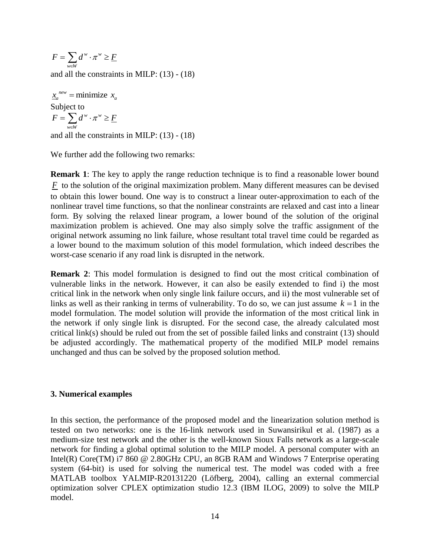$\overline{\overline{w}}$  $F = \sum d^w \cdot \pi^w \geq \underline{F}$  $=\sum_{w\in W}d^w\cdot \pi^w\geq \underline{F}$ and all the constraints in MILP: (13) - (18)

 $\underline{x}_a^{new}$  = minimize  $x_a$ Subject to  $w = w$  $\overline{\overline{w}}$  $F = \sum d^w \cdot \pi^w \geq \underline{F}$  $=\sum_{w\in W}d^w\cdot \pi^w\geq \underline{F}$ and all the constraints in MILP: (13) - (18)

We further add the following two remarks:

"  $\pi$ "  $z \to E$ <br>
constraints in MILP: (13) - (18)<br>
nimize  $x_a$ <br>
"  $\pi$ "  $\geq$   $E$ <br>
constraints in MILP: (13) - (18)<br>
r add the following two remarks:<br>
1: The key to apply the range reduction<br>
this lower bound. One way is t **Remark 1**: The key to apply the range reduction technique is to find a reasonable lower bound  $F$  to the solution of the original maximization problem. Many different measures can be devised to obtain this lower bound. One way is to construct a linear outer-approximation to each of the nonlinear travel time functions, so that the nonlinear constraints are relaxed and cast into a linear form. By solving the relaxed linear program, a lower bound of the solution of the original maximization problem is achieved. One may also simply solve the traffic assignment of the original network assuming no link failure, whose resultant total travel time could be regarded as a lower bound to the maximum solution of this model formulation, which indeed describes the worst-case scenario if any road link is disrupted in the network.

**Remark 2**: This model formulation is designed to find out the most critical combination of vulnerable links in the network. However, it can also be easily extended to find i) the most critical link in the network when only single link failure occurs, and ii) the most vulnerable set of links as well as their ranking in terms of vulnerability. To do so, we can just assume  $k = 1$  in the model formulation. The model solution will provide the information of the most critical link in the network if only single link is disrupted. For the second case, the already calculated most critical link(s) should be ruled out from the set of possible failed links and constraint (13) should be adjusted accordingly. The mathematical property of the modified MILP model remains unchanged and thus can be solved by the proposed solution method.

# **3. Numerical examples**

In this section, the performance of the proposed model and the linearization solution method is tested on two networks: one is the 16-link network used in Suwansirikul et al. (1987) as a medium-size test network and the other is the well-known Sioux Falls network as a large-scale network for finding a global optimal solution to the MILP model. A personal computer with an Intel(R) Core(TM) i7 860 @ 2.80GHz CPU, an 8GB RAM and Windows 7 Enterprise operating system (64-bit) is used for solving the numerical test. The model was coded with a free MATLAB toolbox YALMIP-R20131220 (Löfberg, 2004), calling an external commercial optimization solver CPLEX optimization studio 12.3 (IBM ILOG, 2009) to solve the MILP model.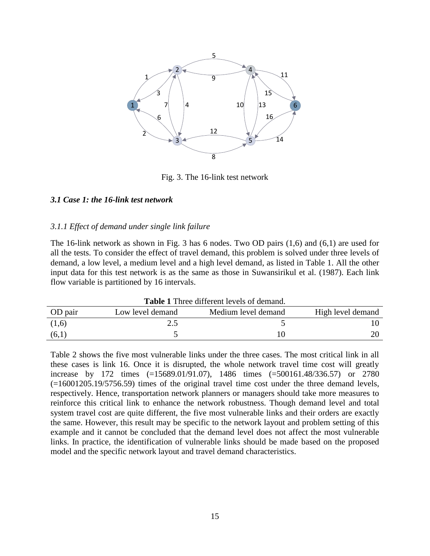

Fig. 3. The 16-link test network

# *3.1 Case 1: the 16-link test network*

#### *3.1.1 Effect of demand under single link failure*

The 16-link network as shown in Fig. 3 has 6 nodes. Two OD pairs (1,6) and (6,1) are used for all the tests. To consider the effect of travel demand, this problem is solved under three levels of demand, a low level, a medium level and a high level demand, as listed in Table 1. All the other input data for this test network is as the same as those in Suwansirikul et al. (1987). Each link flow variable is partitioned by 16 intervals.

| <b>Table 1</b> Three different levels of demand. |                  |                     |                   |  |  |  |  |
|--------------------------------------------------|------------------|---------------------|-------------------|--|--|--|--|
| OD pair                                          | Low level demand | Medium level demand | High level demand |  |  |  |  |
| (1,6)                                            |                  |                     |                   |  |  |  |  |
| (6,1)                                            |                  |                     |                   |  |  |  |  |

Table 2 shows the five most vulnerable links under the three cases. The most critical link in all these cases is link 16. Once it is disrupted, the whole network travel time cost will greatly increase by 172 times (=15689.01/91.07), 1486 times (=500161.48/336.57) or 2780 (=16001205.19/5756.59) times of the original travel time cost under the three demand levels, respectively. Hence, transportation network planners or managers should take more measures to reinforce this critical link to enhance the network robustness. Though demand level and total system travel cost are quite different, the five most vulnerable links and their orders are exactly the same. However, this result may be specific to the network layout and problem setting of this example and it cannot be concluded that the demand level does not affect the most vulnerable links. In practice, the identification of vulnerable links should be made based on the proposed model and the specific network layout and travel demand characteristics.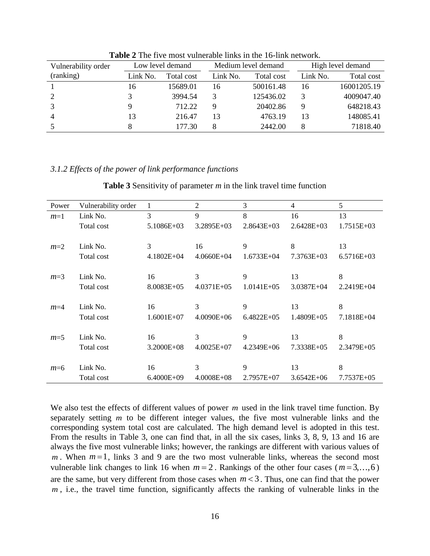| Vulnerability order |          | Low level demand |          | Medium level demand |          | High level demand |
|---------------------|----------|------------------|----------|---------------------|----------|-------------------|
| (ranking)           | Link No. | Total cost       | Link No. | Total cost          | Link No. | Total cost        |
|                     | 16       | 15689.01         | 16       | 500161.48           | 16       | 16001205.19       |
|                     | 3        | 3994.54          |          | 125436.02           |          | 4009047.40        |
|                     |          | 712.22           |          | 20402.86            | 9        | 648218.43         |
| $\overline{4}$      | 13       | 216.47           | 13       | 4763.19             | 13       | 148085.41         |
|                     |          | 177.30           | 8        | 2442.00             | 8        | 71818.40          |

**Table 2** The five most vulnerable links in the 16-link network.

#### *3.1.2 Effects of the power of link performance functions*

**Table 3** Sensitivity of parameter *m* in the link travel time function

| Power | Vulnerability order | 1              | $\overline{2}$ | 3              | $\overline{4}$ | 5            |
|-------|---------------------|----------------|----------------|----------------|----------------|--------------|
| $m=1$ | Link No.            | 3              | 9              | 8              | 16             | 13           |
|       | Total cost          | 5.1086E+03     | $3.2895E+03$   | $2.8643E+03$   | 2.6428E+03     | 1.7515E+03   |
|       |                     |                |                |                |                |              |
| $m=2$ | Link No.            | 3              | 16             | 9              | 8              | 13           |
|       | Total cost          | $4.1802E + 04$ | $4.0660E + 04$ | $1.6733E + 04$ | 7.3763E+03     | $6.5716E+03$ |
|       |                     |                |                |                |                |              |
| $m=3$ | Link No.            | 16             | 3              | 9              | 13             | 8            |
|       | Total cost          | 8.0083E+05     | $4.0371E + 05$ | $1.0141E + 05$ | 3.0387E+04     | 2.2419E+04   |
|       |                     |                |                |                |                |              |
| $m=4$ | Link No.            | 16             | 3              | 9              | 13             | 8            |
|       |                     |                |                |                |                |              |
|       | Total cost          | $1.6001E+07$   | $4.0090E + 06$ | $6.4822E+05$   | 1.4809E+05     | 7.1818E+04   |
|       |                     |                |                |                |                |              |
| $m=5$ | Link No.            | 16             | 3              | 9              | 13             | 8            |
|       | Total cost          | 3.2000E+08     | $4.0025E + 07$ | 4.2349E+06     | 7.3338E+05     | 2.3479E+05   |
|       |                     |                |                |                |                |              |
| $m=6$ | Link No.            | 16             | 3              | 9              | 13             | 8            |
|       | Total cost          | $6.4000E + 09$ | $4.0008E + 08$ | 2.7957E+07     | $3.6542E + 06$ | 7.7537E+05   |
|       |                     |                |                |                |                |              |

We also test the effects of different values of power m used in the link travel time function. By separately setting *m* to be different integer values, the five most vulnerable links and the corresponding system total cost are calculated. The high demand level is adopted in this test. From the results in Table 3, one can find that, in all the six cases, links 3, 8, 9, 13 and 16 are always the five most vulnerable links; however, the rankings are different with various values of  $m$ . When  $m=1$ , links 3 and 9 are the two most vulnerable links, whereas the second most vulnerable link changes to link 16 when  $m = 2$ . Rankings of the other four cases ( $m = 3, \dots, 6$ ) are the same, but very different from those cases when  $m < 3$ . Thus, one can find that the power *m* , i.e., the travel time function, significantly affects the ranking of vulnerable links in the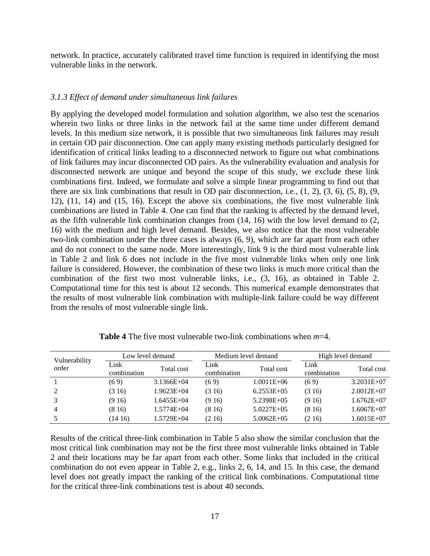network. In practice, accurately calibrated travel time function is required in identifying the most vulnerable links in the network.

# *3.1.3 Effect of demand under simultaneous link failures*

By applying the developed model formulation and solution algorithm, we also test the scenarios wherein two links or three links in the network fail at the same time under different demand levels. In this medium size network, it is possible that two simultaneous link failures may result in certain OD pair disconnection. One can apply many existing methods particularly designed for identification of critical links leading to a disconnected network to figure out what combinations of link failures may incur disconnected OD pairs. As the vulnerability evaluation and analysis for disconnected network are unique and beyond the scope of this study, we exclude these link combinations first. Indeed, we formulate and solve a simple linear programming to find out that there are six link combinations that result in OD pair disconnection, i.e., (1, 2), (3, 6), (5, 8), (9, 12), (11, 14) and (15, 16). Except the above six combinations, the five most vulnerable link combinations are listed in Table 4. One can find that the ranking is affected by the demand level, as the fifth vulnerable link combination changes from (14, 16) with the low level demand to (2, 16) with the medium and high level demand. Besides, we also notice that the most vulnerable two-link combination under the three cases is always (6, 9), which are far apart from each other and do not connect to the same node. More interestingly, link 9 is the third most vulnerable link in Table 2 and link 6 does not include in the five most vulnerable links when only one link failure is considered. However, the combination of these two links is much more critical than the combination of the first two most vulnerable links, i.e., (3, 16), as obtained in Table 2. Computational time for this test is about 12 seconds. This numerical example demonstrates that the results of most vulnerable link combination with multiple-link failure could be way different from the results of most vulnerable single link.

| Vulnerability | Low level demand    |                |                     | Medium level demand | High level demand   |                |
|---------------|---------------------|----------------|---------------------|---------------------|---------------------|----------------|
| order         | Link<br>combination | Total cost     | Link<br>combination | Total cost          | Link<br>combination | Total cost     |
|               | (69)                | $3.1366E + 04$ | (69)                | $1.0011E + 06$      | (69)                | $3.2031E+07$   |
|               | (316)               | $1.9623E + 04$ | (316)               | $6.2553E+05$        | (316)               | $2.0012E+07$   |
|               | (916)               | $1.6455E+04$   | (916)               | $5.2398E+05$        | (916)               | $1.6762E+07$   |
| 4             | (816)               | $1.5774E + 04$ | (816)               | $5.0227E+0.5$       | (816)               | $1.6067E + 07$ |
|               | (1416)              | 1.5729E+04     | (216)               | $5.0062E + 05$      | (216)               | 1.6015E+07     |

**Table 4** The five most vulnerable two-link combinations when *m*=4.

Results of the critical three-link combination in Table 5 also show the similar conclusion that the most critical link combination may not be the first three most vulnerable links obtained in Table 2 and their locations may be far apart from each other. Some links that included in the critical combination do not even appear in Table 2, e.g., links 2, 6, 14, and 15. In this case, the demand level does not greatly impact the ranking of the critical link combinations. Computational time for the critical three-link combinations test is about 40 seconds.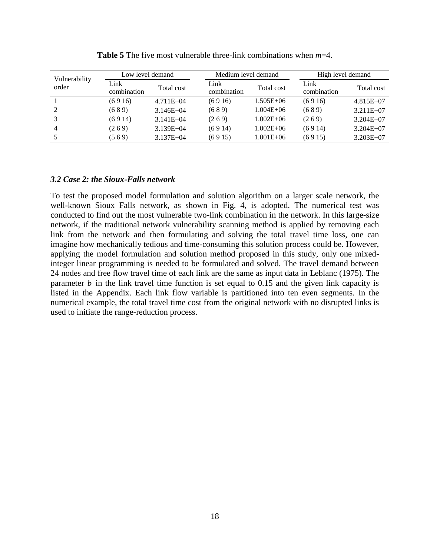| Vulnerability | Low level demand    |               | Medium level demand |               |                     | High level demand |  |
|---------------|---------------------|---------------|---------------------|---------------|---------------------|-------------------|--|
| order         | Link<br>combination | Total cost    | Link<br>combination | Total cost    | Link<br>combination | Total cost        |  |
|               | (6916)              | $4.711E + 04$ | (6916)              | $1.505E + 06$ | (6916)              | $4.815E+07$       |  |
| 2             | (689)               | $3.146E + 04$ | (689)               | $1.004E + 06$ | (689)               | $3.211E + 07$     |  |
|               | (6914)              | $3.141E + 04$ | (269)               | $1.002E + 06$ | (269)               | $3.204E+07$       |  |
| 4             | (269)               | $3.139E + 04$ | (6914)              | $1.002E + 06$ | (6914)              | $3.204E+07$       |  |
|               | (569)               | $3.137E + 04$ | (6915)              | $1.001E + 06$ | (6915)              | $3.203E+07$       |  |

**Table 5** The five most vulnerable three-link combinations when *m*=4.

# *3.2 Case 2: the Sioux-Falls network*

To test the proposed model formulation and solution algorithm on a larger scale network, the well-known Sioux Falls network, as shown in Fig. 4, is adopted. The numerical test was conducted to find out the most vulnerable two-link combination in the network. In this large-size network, if the traditional network vulnerability scanning method is applied by removing each link from the network and then formulating and solving the total travel time loss, one can imagine how mechanically tedious and time-consuming this solution process could be. However, applying the model formulation and solution method proposed in this study, only one mixedinteger linear programming is needed to be formulated and solved. The travel demand between 24 nodes and free flow travel time of each link are the same as input data in Leblanc (1975). The parameter  $b$  in the link travel time function is set equal to  $0.15$  and the given link capacity is listed in the Appendix. Each link flow variable is partitioned into ten even segments. In the numerical example, the total travel time cost from the original network with no disrupted links is used to initiate the range-reduction process.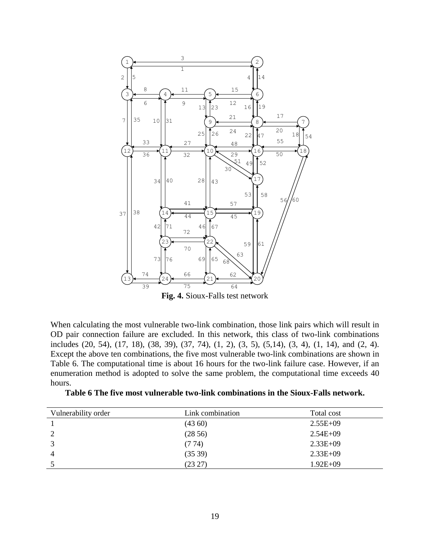

**Fig. 4.** Sioux-Falls test network

When calculating the most vulnerable two-link combination, those link pairs which will result in OD pair connection failure are excluded. In this network, this class of two-link combinations includes (20, 54), (17, 18), (38, 39), (37, 74), (1, 2), (3, 5), (5,14), (3, 4), (1, 14), and (2, 4). Except the above ten combinations, the five most vulnerable two-link combinations are shown in Table 6. The computational time is about 16 hours for the two-link failure case. However, if an enumeration method is adopted to solve the same problem, the computational time exceeds 40 hours.

| Table 6 The five most vulnerable two-link combinations in the Sioux-Falls network. |  |  |  |  |
|------------------------------------------------------------------------------------|--|--|--|--|
|------------------------------------------------------------------------------------|--|--|--|--|

| Link combination | Total cost   |
|------------------|--------------|
| (4360)           | $2.55E+09$   |
| (2856)           | $2.54E + 09$ |
| (774)            | $2.33E+09$   |
| (3539)           | $2.33E+09$   |
| (23 27)          | $1.92E + 09$ |
|                  |              |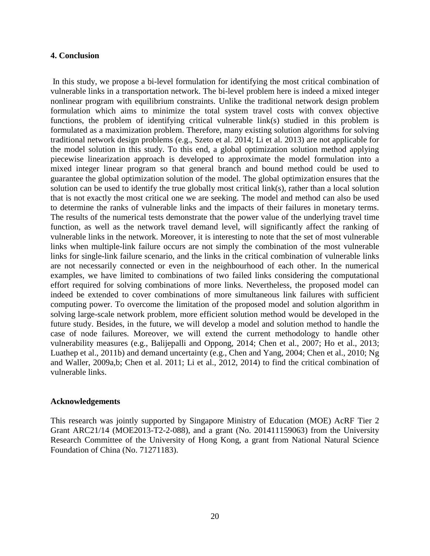# **4. Conclusion**

In this study, we propose a bi-level formulation for identifying the most critical combination of vulnerable links in a transportation network. The bi-level problem here is indeed a mixed integer nonlinear program with equilibrium constraints. Unlike the traditional network design problem formulation which aims to minimize the total system travel costs with convex objective functions, the problem of identifying critical vulnerable link(s) studied in this problem is formulated as a maximization problem. Therefore, many existing solution algorithms for solving traditional network design problems (e.g., Szeto et al. 2014; Li et al. 2013) are not applicable for the model solution in this study. To this end, a global optimization solution method applying piecewise linearization approach is developed to approximate the model formulation into a mixed integer linear program so that general branch and bound method could be used to guarantee the global optimization solution of the model. The global optimization ensures that the solution can be used to identify the true globally most critical link(s), rather than a local solution that is not exactly the most critical one we are seeking. The model and method can also be used to determine the ranks of vulnerable links and the impacts of their failures in monetary terms. The results of the numerical tests demonstrate that the power value of the underlying travel time function, as well as the network travel demand level, will significantly affect the ranking of vulnerable links in the network. Moreover, it is interesting to note that the set of most vulnerable links when multiple-link failure occurs are not simply the combination of the most vulnerable links for single-link failure scenario, and the links in the critical combination of vulnerable links are not necessarily connected or even in the neighbourhood of each other. In the numerical examples, we have limited to combinations of two failed links considering the computational effort required for solving combinations of more links. Nevertheless, the proposed model can indeed be extended to cover combinations of more simultaneous link failures with sufficient computing power. To overcome the limitation of the proposed model and solution algorithm in solving large-scale network problem, more efficient solution method would be developed in the future study. Besides, in the future, we will develop a model and solution method to handle the case of node failures. Moreover, we will extend the current methodology to handle other vulnerability measures (e.g., Balijepalli and Oppong, 2014; Chen et al., 2007; Ho et al., 2013; Luathep et al., 2011b) and demand uncertainty (e.g., Chen and Yang, 2004; Chen et al., 2010; Ng and Waller, 2009a,b; Chen et al. 2011; Li et al., 2012, 2014) to find the critical combination of vulnerable links.

# **Acknowledgements**

This research was jointly supported by Singapore Ministry of Education (MOE) AcRF Tier 2 Grant ARC21/14 (MOE2013-T2-2-088), and a grant (No. 201411159063) from the University Research Committee of the University of Hong Kong, a grant from National Natural Science Foundation of China (No. 71271183).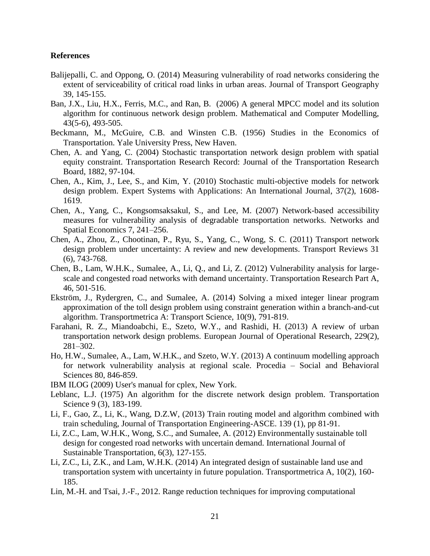# **References**

- Balijepalli, C. and Oppong, O. (2014) Measuring vulnerability of road networks considering the extent of serviceability of critical road links in urban areas. Journal of Transport Geography 39, 145-155.
- Ban, J.X., Liu, H.X., Ferris, M.C., and Ran, B. (2006) A general MPCC model and its solution algorithm for continuous network design problem. Mathematical and Computer Modelling, 43(5-6), 493-505.
- Beckmann, M., McGuire, C.B. and Winsten C.B. (1956) Studies in the Economics of Transportation. Yale University Press, New Haven.
- Chen, A. and Yang, C. (2004) Stochastic transportation network design problem with spatial equity constraint. Transportation Research Record: Journal of the Transportation Research Board, 1882, 97-104.
- Chen, A., Kim, J., Lee, S., and Kim, Y. (2010) Stochastic multi-objective models for network design problem. Expert Systems with Applications: An International Journal, 37(2), 1608- 1619.
- Chen, A., Yang, C., Kongsomsaksakul, S., and Lee, M. (2007) Network-based accessibility measures for vulnerability analysis of degradable transportation networks. Networks and Spatial Economics 7, 241–256.
- Chen, A., Zhou, Z., Chootinan, P., Ryu, S., Yang, C., Wong, S. C. (2011) Transport network design problem under uncertainty: A review and new developments. Transport Reviews 31 (6), 743-768.
- Chen, B., Lam, W.H.K., Sumalee, A., Li, Q., and Li, Z. (2012) Vulnerability analysis for largescale and congested road networks with demand uncertainty. Transportation Research Part A, 46, 501-516.
- Ekström, J., Rydergren, C., and Sumalee, A. (2014) Solving a mixed integer linear program approximation of the toll design problem using constraint generation within a branch-and-cut algorithm. Transportmetrica A: Transport Science, 10(9), 791-819.
- Farahani, R. Z., Miandoabchi, E., Szeto, W.Y., and Rashidi, H. (2013) A review of urban transportation network design problems. European Journal of Operational Research, 229(2), 281–302.
- Ho, H.W., Sumalee, A., Lam, W.H.K., and Szeto, W.Y. (2013) A continuum modelling approach for network vulnerability analysis at regional scale. Procedia – Social and Behavioral Sciences 80, 846-859.
- IBM ILOG (2009) User's manual for cplex, New York.
- Leblanc, L.J. (1975) An algorithm for the discrete network design problem. Transportation Science 9 (3), 183-199.
- Li, F., Gao, Z., Li, K., Wang, D.Z.W, (2013) Train routing model and algorithm combined with train scheduling, Journal of Transportation Engineering-ASCE. 139 (1), pp 81-91.
- Li, Z.C., Lam, W.H.K., Wong, S.C., and Sumalee, A. (2012) Environmentally sustainable toll design for congested road networks with uncertain demand. International Journal of Sustainable Transportation, 6(3), 127-155.
- Li, Z.C., Li, Z.K., and Lam, W.H.K. (2014) An integrated design of sustainable land use and transportation system with uncertainty in future population. Transportmetrica A, 10(2), 160- 185.
- Lin, M.-H. and Tsai, J.-F., 2012. Range reduction techniques for improving computational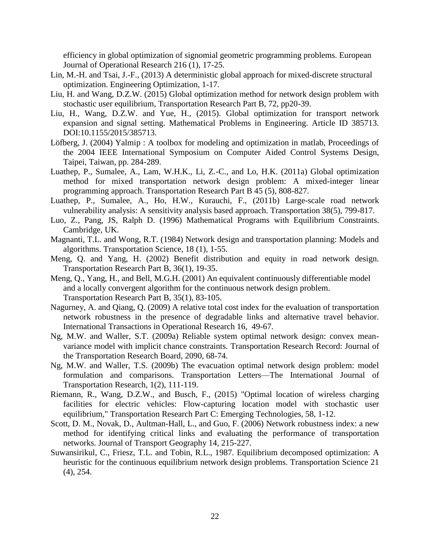efficiency in global optimization of signomial geometric programming problems. European Journal of Operational Research 216 (1), 17-25.

- Lin, M.-H. and Tsai, J.-F., (2013) A deterministic global approach for mixed-discrete structural optimization. Engineering Optimization, 1-17.
- Liu, H. and Wang, D.Z.W. (2015) Global optimization method for network design problem with stochastic user equilibrium, Transportation Research Part B, 72, pp20-39.
- Liu, H., Wang, D.Z.W. and Yue, H., (2015). Global optimization for transport network expansion and signal setting. Mathematical Problems in Engineering. Article ID 385713. DOI:10.1155/2015/385713.
- Löfberg, J. (2004) Yalmip : A toolbox for modeling and optimization in matlab, Proceedings of the 2004 IEEE International Symposium on Computer Aided Control Systems Design, Taipei, Taiwan, pp. 284-289.
- Luathep, P., Sumalee, A., Lam, W.H.K., Li, Z.-C., and Lo, H.K. (2011a) Global optimization method for mixed transportation network design problem: A mixed-integer linear programming approach. Transportation Research Part B 45 (5), 808-827.
- Luathep, P., Sumalee, A., Ho, H.W., Kurauchi, F., (2011b) Large-scale road network vulnerability analysis: A sensitivity analysis based approach. Transportation 38(5), 799-817.
- Luo, Z., Pang, JS, Ralph D. (1996) Mathematical Programs with Equilibrium Constraints. Cambridge, UK.
- Magnanti, T.L. and Wong, R.T. (1984) Network design and transportation planning: Models and algorithms. Transportation Science, 18 (1), 1-55.
- Meng, Q. and Yang, H. (2002) Benefit distribution and equity in road network design. Transportation Research Part B, 36(1), 19-35.
- Meng, Q., Yang, H., and Bell, M.G.H. (2001) An equivalent continuously differentiable model and a locally convergent algorithm for the continuous network design problem. Transportation Research Part B, 35(1), 83-105.
- Nagurney, A. and Qiang, Q. (2009) A relative total cost index for the evaluation of transportation network robustness in the presence of degradable links and alternative travel behavior. International Transactions in Operational Research 16, 49-67.
- Ng, M.W. and Waller, S.T. (2009a) Reliable system optimal network design: convex meanvariance model with implicit chance constraints. Transportation Research Record: Journal of the Transportation Research Board, 2090, 68-74.
- Ng, M.W. and Waller, T.S. (2009b) The evacuation optimal network design problem: model formulation and comparisons. Transportation Letters—The International Journal of Transportation Research, 1(2), 111-119.
- Riemann, R., Wang, D.Z.W., and Busch, F., (2015) "Optimal location of wireless charging facilities for electric vehicles: Flow-capturing location model with stochastic user equilibrium," Transportation Research Part C: Emerging Technologies, 58, 1-12.
- Scott, D. M., Novak, D., Aultman-Hall, L., and Guo, F. (2006) Network robustness index: a new method for identifying critical links and evaluating the performance of transportation networks. Journal of Transport Geography 14, 215-227.
- Suwansirikul, C., Friesz, T.L. and Tobin, R.L., 1987. Equilibrium decomposed optimization: A heuristic for the continuous equilibrium network design problems. Transportation Science 21 (4), 254.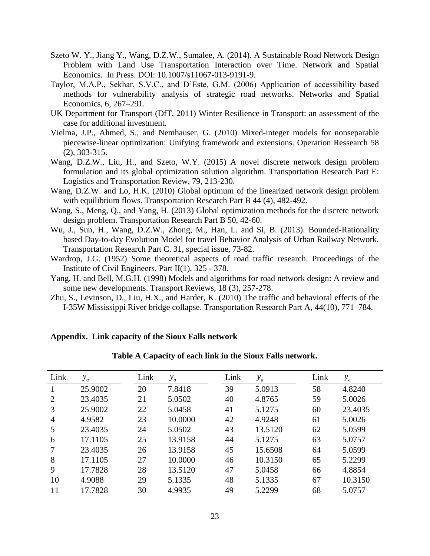- Szeto W. Y., Jiang Y., Wang, D.Z.W., Sumalee, A. (2014). A Sustainable Road Network Design Problem with Land Use Transportation Interaction over Time. Network and Spatial Economics. In Press. DOI: 10.1007/s11067-013-9191-9.
- Taylor, M.A.P., Sekhar, S.V.C., and D'Este, G.M. (2006) Application of accessibility based methods for vulnerability analysis of strategic road networks. Networks and Spatial Economics, 6, 267–291.
- UK Department for Transport (DfT, 2011) Winter Resilience in Transport: an assessment of the case for additional investment.
- Vielma, J.P., Ahmed, S., and Nemhauser, G. (2010) Mixed-integer models for nonseparable piecewise-linear optimization: Unifying framework and extensions. Operation Ressearch 58 (2), 303-315.
- Wang, D.Z.W., Liu, H., and Szeto, W.Y. (2015) A novel discrete network design problem formulation and its global optimization solution algorithm. Transportation Research Part E: Logistics and Transportation Review, 79, 213-230.
- Wang, D.Z.W. and Lo, H.K. (2010) Global optimum of the linearized network design problem with equilibrium flows. Transportation Research Part B 44 (4), 482-492.
- Wang, S., Meng, Q., and Yang, H. (2013) Global optimization methods for the discrete network design problem. Transportation Research Part B 50, 42-60.
- Wu, J., Sun, H., Wang, D.Z.W., Zhong, M., Han, L. and Si, B. (2013). Bounded-Rationality based Day-to-day Evolution Model for travel Behavior Analysis of Urban Railway Network. Transportation Research Part C. 31, special issue, 73-82.
- Wardrop, J.G. (1952) Some theoretical aspects of road traffic research. Proceedings of the Institute of Civil Engineers, Part II(1), 325 - 378.
- Yang, H. and Bell, M.G.H. (1998) Models and algorithms for road network design: A review and some new developments. Transport Reviews, 18 (3), 257-278.
- Zhu, S., Levinson, D., Liu, H.X., and Harder, K. (2010) The traffic and behavioral effects of the I-35W Mississippi River bridge collapse. Transportation Research Part A, 44(10), 771–784.

## **Appendix. Link capacity of the Sioux Falls network**

| Link | $y_a$   | Link | $y_a$   | Link | $y_a$   | Link | $y_a$   |
|------|---------|------|---------|------|---------|------|---------|
|      | 25.9002 | 20   | 7.8418  | 39   | 5.0913  | 58   | 4.8240  |
| 2    | 23.4035 | 21   | 5.0502  | 40   | 4.8765  | 59   | 5.0026  |
| 3    | 25.9002 | 22   | 5.0458  | 41   | 5.1275  | 60   | 23.4035 |
| 4    | 4.9582  | 23   | 10.0000 | 42   | 4.9248  | 61   | 5.0026  |
| 5    | 23.4035 | 24   | 5.0502  | 43   | 13.5120 | 62   | 5.0599  |
| 6    | 17.1105 | 25   | 13.9158 | 44   | 5.1275  | 63   | 5.0757  |
|      | 23.4035 | 26   | 13.9158 | 45   | 15.6508 | 64   | 5.0599  |
| 8    | 17.1105 | 27   | 10.0000 | 46   | 10.3150 | 65   | 5.2299  |
| 9    | 17.7828 | 28   | 13.5120 | 47   | 5.0458  | 66   | 4.8854  |
| 10   | 4.9088  | 29   | 5.1335  | 48   | 5.1335  | 67   | 10.3150 |
| 11   | 17.7828 | 30   | 4.9935  | 49   | 5.2299  | 68   | 5.0757  |

**Table A Capacity of each link in the Sioux Falls network.**